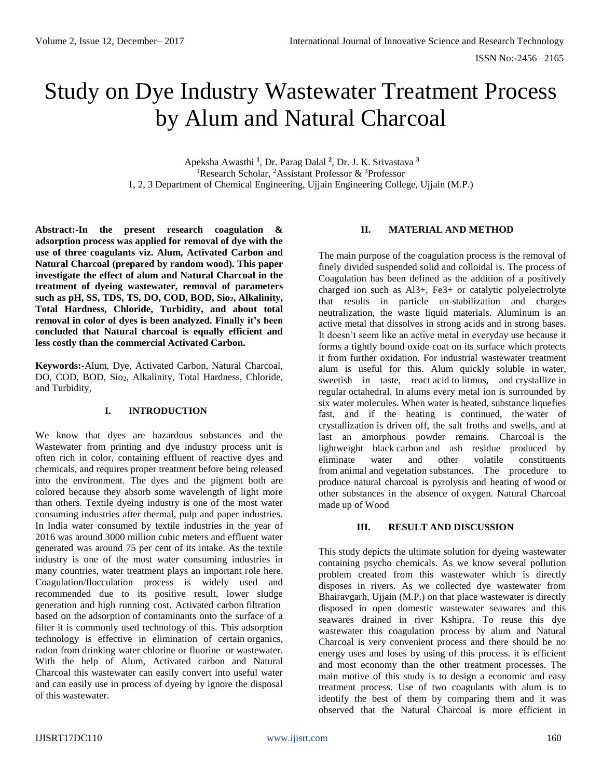# Study on Dye Industry Wastewater Treatment Process by Alum and Natural Charcoal

Apeksha Awasthi **<sup>1</sup>** , Dr. Parag Dalal **<sup>2</sup>** , Dr. J. K. Srivastava **<sup>3</sup>** <sup>1</sup>Research Scholar, <sup>2</sup>Assistant Professor & <sup>3</sup>Professor 1, 2, 3 Department of Chemical Engineering, Ujjain Engineering College, Ujjain (M.P.)

**Abstract:-In the present research coagulation & adsorption process was applied for removal of dye with the use of three coagulants viz. Alum, Activated Carbon and Natural Charcoal (prepared by random wood). This paper investigate the effect of alum and Natural Charcoal in the treatment of dyeing wastewater, removal of parameters such as pH, SS, TDS, TS, DO, COD, BOD, Sio2, Alkalinity, Total Hardness, Chloride, Turbidity, and about total removal in color of dyes is been analyzed. Finally it's been concluded that Natural charcoal is equally efficient and less costly than the commercial Activated Carbon.**

**Keywords:-**Alum, Dye, Activated Carbon, Natural Charcoal, DO, COD, BOD, Sio<sub>2</sub>, Alkalinity, Total Hardness, Chloride, and Turbidity,

#### **I. INTRODUCTION**

We know that dyes are hazardous substances and the Wastewater from printing and dye industry process unit is often rich in color, containing effluent of reactive dyes and chemicals, and requires proper treatment before being released into the environment. The dyes and the pigment both are colored because they absorb some wavelength of light more than others. Textile dyeing industry is one of the most water consuming industries after thermal, pulp and paper industries. In India water consumed by textile industries in the year of 2016 was around 3000 million cubic meters and effluent water generated was around 75 per cent of its intake. As the textile industry is one of the most water consuming industries in many countries, water treatment plays an important role here. Coagulation/flocculation process is widely used and recommended due to its positive result, lower sludge generation and high running cost. Activated carbon [filtration](https://www.sswm.info/glossary/2/letterf#term3351) based on the [adsorption](https://www.sswm.info/glossary/2/lettera#term1446) of contaminants onto the surface of a filter it is commonly used technology of this. This adsorption technology is effective in elimination of certain [organics](https://www.sswm.info/glossary/2/lettero#term1072)*,*  radon from [drinking water](https://www.sswm.info/glossary/2/letterd#term1069) chlorine or fluorine or [wastewater](https://www.sswm.info/glossary/2/letterw#term1035)*.* With the help of Alum, Activated carbon and Natural Charcoal this wastewater can easily convert into useful water and can easily use in process of dyeing by ignore the disposal of this wastewater.

## **II. MATERIAL AND METHOD**

The main purpose of the coagulation process is the removal of finely divided suspended solid and colloidal is. The process of Coagulation has been defined as the addition of a positively charged ion such as Al3+, Fe3+ or catalytic polyelectrolyte that results in particle un-stabilization and charges neutralization, the waste liquid materials. Aluminum is an active metal that dissolves in strong acids and in strong bases. It doesn't seem like an active metal in everyday use because it forms a tightly bound oxide coat on its surface which protects it from further oxidation. For industrial wastewater treatment alum is useful for this. Alum quickly soluble in [water,](https://en.wikipedia.org/wiki/Water_(molecule)) sweetish in taste, react [acid](https://en.wikipedia.org/wiki/Acid) to [litmus,](https://en.wikipedia.org/wiki/Litmus) and [crystallize](https://en.wikipedia.org/wiki/Crystal) in regular [octahedral.](https://en.wikipedia.org/wiki/Octahedron) In alums every metal ion is surrounded by six water molecules. When water is heated, substance liquefies fast, and if the heating is continued, the [water of](https://en.wikipedia.org/wiki/Water_of_crystallization)  [crystallization](https://en.wikipedia.org/wiki/Water_of_crystallization) is driven off, the salt froths and swells, and at last an amorphous powder remains. Charcoal is the lightweight black [carbon](https://en.wikipedia.org/wiki/Carbon) and ash residue produced by eliminate water and other volatile constituents from [animal](https://en.wikipedia.org/wiki/Animal) and [vegetation](https://en.wikipedia.org/wiki/Vegetation) substances. The procedure to produce natural charcoal is pyrolysis and heating of [wood](https://en.wikipedia.org/wiki/Wood) or other substances in the absence of oxygen. Natural Charcoal made up of Wood

#### **III. RESULT AND DISCUSSION**

This study depicts the ultimate solution for dyeing wastewater containing psycho chemicals. As we know several pollution problem created from this wastewater which is directly disposes in rivers. As we collected dye wastewater from Bhairavgarh, Ujjain (M.P.) on that place wastewater is directly disposed in open domestic wastewater seawares and this seawares drained in river Kshipra. To reuse this dye wastewater this coagulation process by alum and Natural Charcoal is very convenient process and there should be no energy uses and loses by using of this process. it is efficient and most economy than the other treatment processes. The main motive of this study is to design a economic and easy treatment process. Use of two coagulants with alum is to identify the best of them by comparing them and it was observed that the Natural Charcoal is more efficient in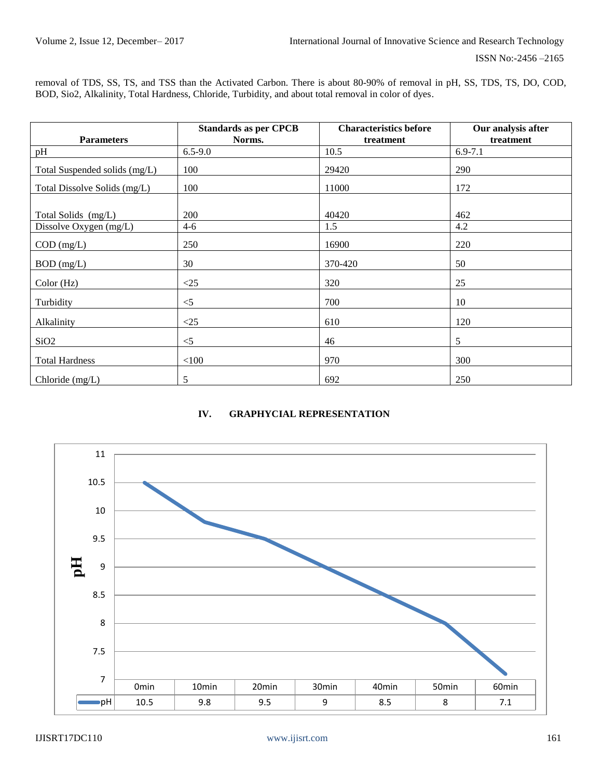removal of TDS, SS, TS, and TSS than the Activated Carbon. There is about 80-90% of removal in pH, SS, TDS, TS, DO, COD, BOD, Sio2, Alkalinity, Total Hardness, Chloride, Turbidity, and about total removal in color of dyes.

|                               | <b>Standards as per CPCB</b> | <b>Characteristics before</b> | Our analysis after |
|-------------------------------|------------------------------|-------------------------------|--------------------|
| <b>Parameters</b>             | Norms.                       | treatment                     | treatment          |
| pH                            | $6.5 - 9.0$                  | 10.5                          | $6.9 - 7.1$        |
| Total Suspended solids (mg/L) | 100                          | 29420                         | 290                |
| Total Dissolve Solids (mg/L)  | 100                          | 11000                         | 172                |
|                               |                              |                               |                    |
| Total Solids (mg/L)           | 200                          | 40420                         | 462                |
| Dissolve Oxygen (mg/L)        | $4 - 6$                      | 1.5                           | 4.2                |
| $COD$ (mg/L)                  | 250                          | 16900                         | 220                |
| $BOD$ (mg/L)                  | 30                           | 370-420                       | 50                 |
| Color(Hz)                     | <25                          | 320                           | 25                 |
| Turbidity                     | $<$ 5                        | 700                           | 10                 |
| Alkalinity                    | <25                          | 610                           | 120                |
| SiO <sub>2</sub>              | $<$ 5                        | 46                            | 5                  |
| <b>Total Hardness</b>         | $<100$                       | 970                           | 300                |
| Chloride (mg/L)               | 5                            | 692                           | 250                |

## **IV. GRAPHYCIAL REPRESENTATION**

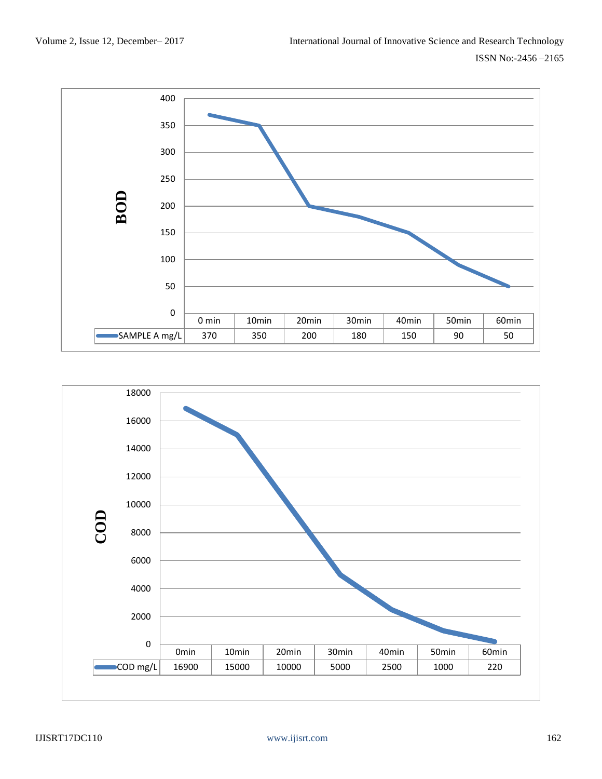

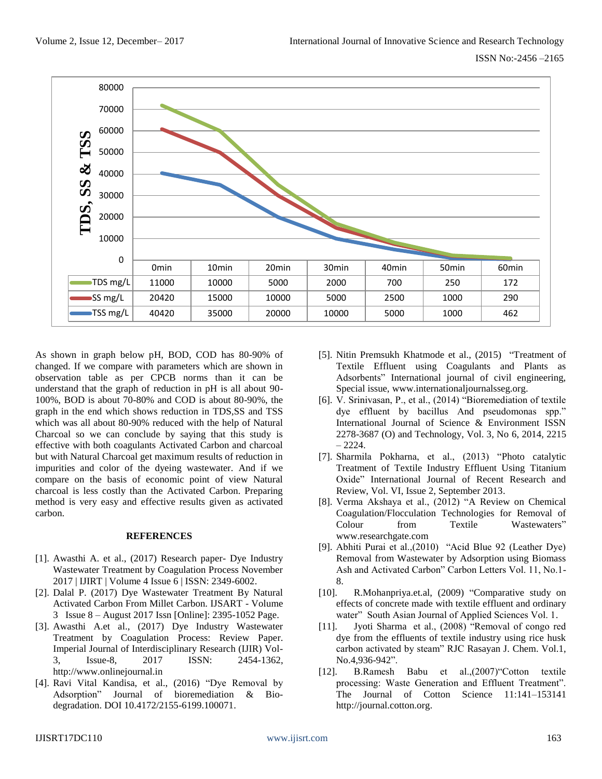

As shown in graph below pH, BOD, COD has 80-90% of changed. If we compare with parameters which are shown in observation table as per CPCB norms than it can be understand that the graph of reduction in pH is all about 90- 100%, BOD is about 70-80% and COD is about 80-90%, the graph in the end which shows reduction in TDS,SS and TSS which was all about 80-90% reduced with the help of Natural Charcoal so we can conclude by saying that this study is effective with both coagulants Activated Carbon and charcoal but with Natural Charcoal get maximum results of reduction in impurities and color of the dyeing wastewater. And if we compare on the basis of economic point of view Natural charcoal is less costly than the Activated Carbon. Preparing method is very easy and effective results given as activated carbon.

### **REFERENCES**

- [1]. Awasthi A. et al., (2017) Research paper- Dye Industry Wastewater Treatment by Coagulation Process November 2017 | IJIRT | Volume 4 Issue 6 | ISSN: 2349-6002.
- [2]. Dalal P. (2017) Dye Wastewater Treatment By Natural Activated Carbon From Millet Carbon. IJSART - Volume 3 Issue 8 – August 2017 Issn [Online]: 2395-1052 Page.
- [3]. Awasthi A.et al., (2017) Dye Industry Wastewater Treatment by Coagulation Process: Review Paper. Imperial Journal of Interdisciplinary Research (IJIR) Vol-3, Issue-8, 2017 ISSN: 2454-1362, [http://www.onlinejournal.in](http://www.onlinejournal.in/)
- [4]. Ravi Vital Kandisa, et al., (2016) "Dye Removal by Adsorption" Journal of bioremediation & Biodegradation. DOI 10.4172/2155-6199.100071.
- [5]. Nitin Premsukh Khatmode et al., (2015) "Treatment of Textile Effluent using Coagulants and Plants as Adsorbents" International journal of civil engineering, Special issue, [www.internationaljournalsseg.org.](http://www.internationaljournalsseg.org/)
- [6]. V. Srinivasan, P., et al., (2014) "Bioremediation of textile dye effluent by bacillus And pseudomonas spp." International Journal of Science & Environment ISSN 2278-3687 (O) and Technology, Vol. 3, No 6, 2014, 2215  $-2224.$
- [7]. Sharmila Pokharna, et al., (2013) "Photo catalytic Treatment of Textile Industry Effluent Using Titanium Oxide" International Journal of Recent Research and Review, Vol. VI, Issue 2, September 2013.
- [8]. Verma Akshaya et al., (2012) ["A Review on Chemical](https://www.researchgate.net/)  [Coagulation/Flocculation Technologies for Removal of](https://www.researchgate.net/)  [Colour from Textile Wastewaters"](https://www.researchgate.net/) [www.researchgate.com](http://www.researchgate.com/)
- [9]. Abhiti Purai et al.,(2010) "Acid Blue 92 (Leather Dye) Removal from Wastewater by Adsorption using Biomass Ash and Activated Carbon" Carbon Letters Vol. 11, No.1- 8.
- [10]. R.Mohanpriya.et.al, (2009) "Comparative study on effects of concrete made with textile effluent and ordinary water" South Asian Journal of Applied Sciences Vol. 1.
- [11]. Jyoti Sharma et al., (2008) "Removal of congo red dye from the effluents of textile industry using rice husk carbon activated by steam" RJC Rasayan J. Chem. Vol.1, No.4,936-942".
- [12]. B.Ramesh Babu et al.,(2007)"Cotton textile processing: Waste Generation and Effluent Treatment". The Journal of Cotton Science 11:141–153141 [http://journal.cotton.org.](http://journal.cotton.org/)